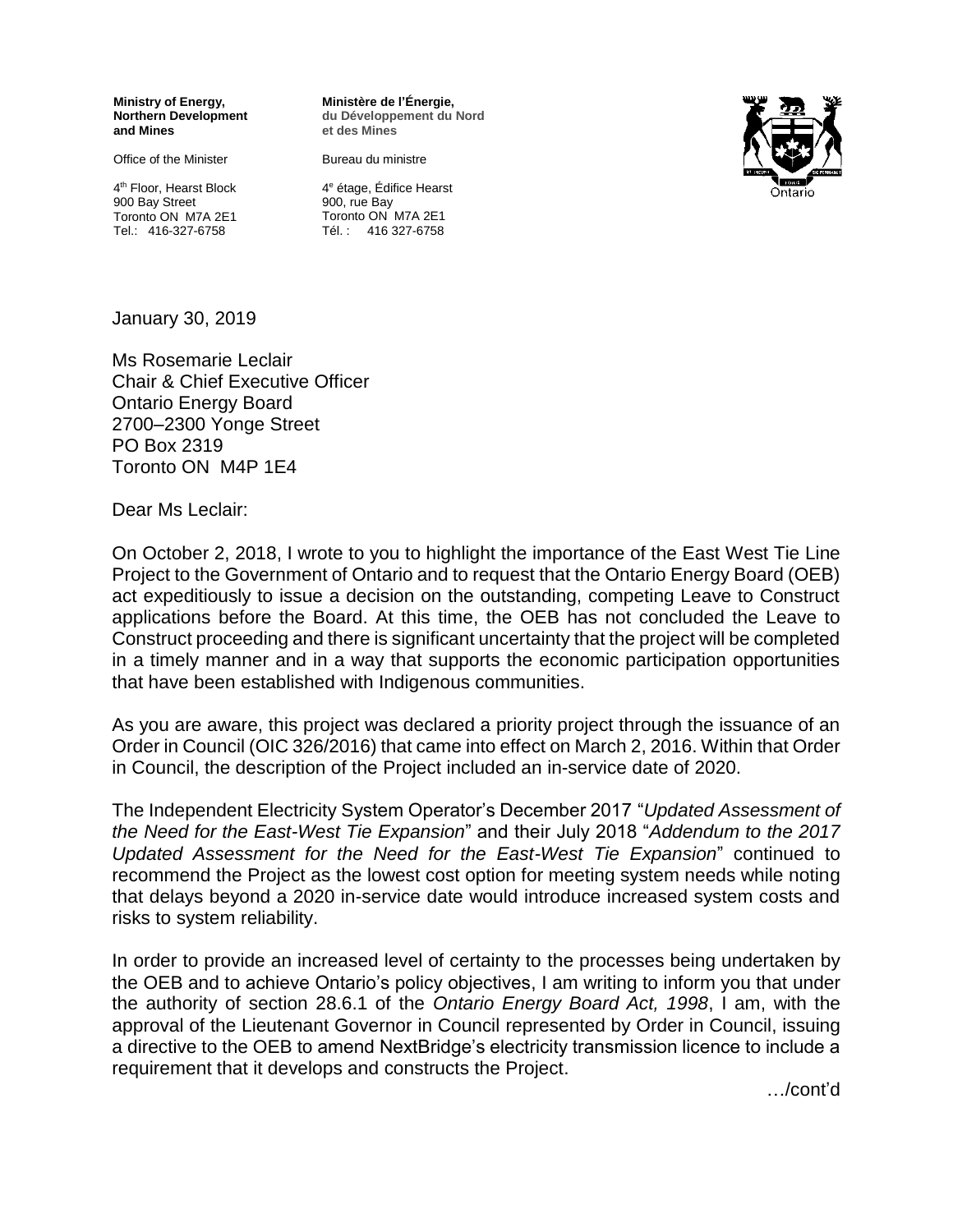**Ministry of Energy, Northern Development and Mines**

Office of the Minister

4 th Floor, Hearst Block 900 Bay Street Toronto ON M7A 2E1 Tel.: 416-327-6758

**Ministère de l'Énergie, du Développement du Nord et des Mines**

Bureau du ministre

4 <sup>e</sup> étage, Édifice Hearst 900, rue Bay Toronto ON M7A 2E1 Tél. : 416 327-6758



January 30, 2019

Ms Rosemarie Leclair Chair & Chief Executive Officer Ontario Energy Board 2700–2300 Yonge Street PO Box 2319 Toronto ON M4P 1E4

Dear Ms Leclair:

On October 2, 2018, I wrote to you to highlight the importance of the East West Tie Line Project to the Government of Ontario and to request that the Ontario Energy Board (OEB) act expeditiously to issue a decision on the outstanding, competing Leave to Construct applications before the Board. At this time, the OEB has not concluded the Leave to Construct proceeding and there is significant uncertainty that the project will be completed in a timely manner and in a way that supports the economic participation opportunities that have been established with Indigenous communities.

As you are aware, this project was declared a priority project through the issuance of an Order in Council (OIC 326/2016) that came into effect on March 2, 2016. Within that Order in Council, the description of the Project included an in-service date of 2020.

The Independent Electricity System Operator's December 2017 "*Updated Assessment of the Need for the East-West Tie Expansion*" and their July 2018 "*Addendum to the 2017 Updated Assessment for the Need for the East-West Tie Expansion*" continued to recommend the Project as the lowest cost option for meeting system needs while noting that delays beyond a 2020 in-service date would introduce increased system costs and risks to system reliability.

In order to provide an increased level of certainty to the processes being undertaken by the OEB and to achieve Ontario's policy objectives, I am writing to inform you that under the authority of section 28.6.1 of the *Ontario Energy Board Act, 1998*, I am, with the approval of the Lieutenant Governor in Council represented by Order in Council, issuing a directive to the OEB to amend NextBridge's electricity transmission licence to include a requirement that it develops and constructs the Project.

…/cont'd